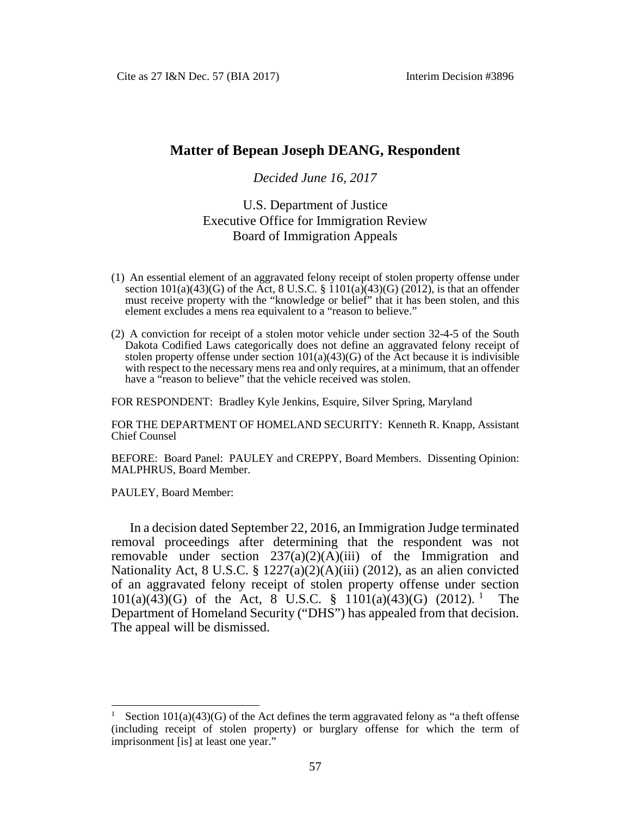# **Matter of Bepean Joseph DEANG, Respondent**

### *Decided June 16, 2017*

# U.S. Department of Justice Executive Office for Immigration Review Board of Immigration Appeals

- (1) An essential element of an aggravated felony receipt of stolen property offense under section  $101(a)(43)(G)$  of the Act, 8 U.S.C. §  $1101(a)(43)(G)$  (2012), is that an offender must receive property with the "knowledge or belief" that it has been stolen, and this element excludes a mens rea equivalent to a "reason to believe."
- (2) A conviction for receipt of a stolen motor vehicle under section 32-4-5 of the South Dakota Codified Laws categorically does not define an aggravated felony receipt of stolen property offense under section  $101(a)(43)(G)$  of the Act because it is indivisible with respect to the necessary mens rea and only requires, at a minimum, that an offender have a "reason to believe" that the vehicle received was stolen.

FOR RESPONDENT: Bradley Kyle Jenkins, Esquire, Silver Spring, Maryland

FOR THE DEPARTMENT OF HOMELAND SECURITY: Kenneth R. Knapp, Assistant Chief Counsel

BEFORE: Board Panel: PAULEY and CREPPY, Board Members. Dissenting Opinion: MALPHRUS, Board Member.

PAULEY, Board Member:

In a decision dated September 22, 2016, an Immigration Judge terminated removal proceedings after determining that the respondent was not removable under section  $237(a)(2)(A)(iii)$  of the Immigration and Nationality Act, 8 U.S.C. § 1227(a)(2)(A)(iii) (2012), as an alien convicted of an aggravated felony receipt of stolen property offense under section  $101(a)(43)(G)$  $101(a)(43)(G)$  of the Act, 8 U.S.C. §  $1101(a)(43)(G)$  (2012).<sup>1</sup> The Department of Homeland Security ("DHS") has appealed from that decision. The appeal will be dismissed.

<span id="page-0-0"></span>Section  $101(a)(43)(G)$  of the Act defines the term aggravated felony as "a theft offense (including receipt of stolen property) or burglary offense for which the term of imprisonment [is] at least one year."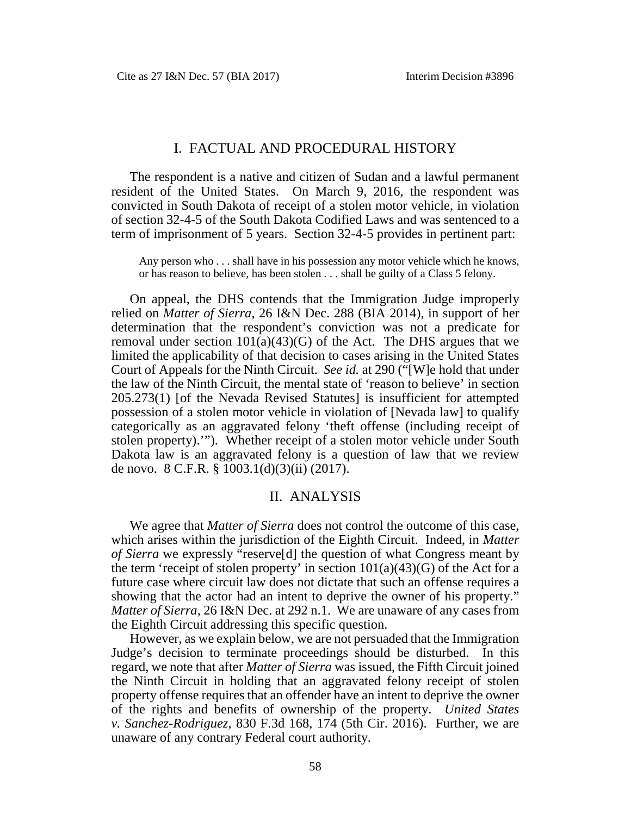# I. FACTUAL AND PROCEDURAL HISTORY

The respondent is a native and citizen of Sudan and a lawful permanent resident of the United States. On March 9, 2016, the respondent was convicted in South Dakota of receipt of a stolen motor vehicle, in violation of section 32-4-5 of the South Dakota Codified Laws and was sentenced to a term of imprisonment of 5 years. Section 32-4-5 provides in pertinent part:

Any person who . . . shall have in his possession any motor vehicle which he knows, or has reason to believe, has been stolen . . . shall be guilty of a Class 5 felony.

On appeal, the DHS contends that the Immigration Judge improperly relied on *Matter of Sierra*, 26 I&N Dec. 288 (BIA 2014), in support of her determination that the respondent's conviction was not a predicate for removal under section  $101(a)(43)(G)$  of the Act. The DHS argues that we limited the applicability of that decision to cases arising in the United States Court of Appeals for the Ninth Circuit. *See id.* at 290 ("[W]e hold that under the law of the Ninth Circuit, the mental state of 'reason to believe' in section 205.273(1) [of the Nevada Revised Statutes] is insufficient for attempted possession of a stolen motor vehicle in violation of [Nevada law] to qualify categorically as an aggravated felony 'theft offense (including receipt of stolen property).'"). Whether receipt of a stolen motor vehicle under South Dakota law is an aggravated felony is a question of law that we review de novo. 8 C.F.R. § 1003.1(d)(3)(ii) (2017).

#### II. ANALYSIS

We agree that *Matter of Sierra* does not control the outcome of this case, which arises within the jurisdiction of the Eighth Circuit. Indeed, in *Matter of Sierra* we expressly "reserve[d] the question of what Congress meant by the term 'receipt of stolen property' in section  $101(a)(43)(G)$  of the Act for a future case where circuit law does not dictate that such an offense requires a showing that the actor had an intent to deprive the owner of his property." *Matter of Sierra*, 26 I&N Dec. at 292 n.1. We are unaware of any cases from the Eighth Circuit addressing this specific question.

However, as we explain below, we are not persuaded that the Immigration Judge's decision to terminate proceedings should be disturbed. In this regard, we note that after *Matter of Sierra* was issued, the Fifth Circuit joined the Ninth Circuit in holding that an aggravated felony receipt of stolen property offense requires that an offender have an intent to deprive the owner of the rights and benefits of ownership of the property. *United States v. Sanchez-Rodriguez*, 830 F.3d 168, 174 (5th Cir. 2016). Further, we are unaware of any contrary Federal court authority.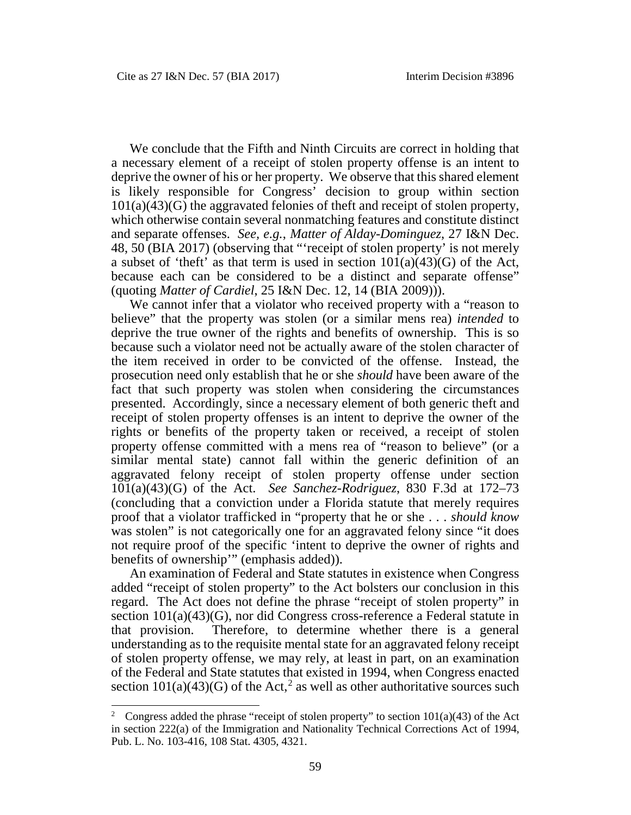We conclude that the Fifth and Ninth Circuits are correct in holding that a necessary element of a receipt of stolen property offense is an intent to deprive the owner of his or her property. We observe that this shared element is likely responsible for Congress' decision to group within section 101(a)(43)(G) the aggravated felonies of theft and receipt of stolen property, which otherwise contain several nonmatching features and constitute distinct and separate offenses. *See, e.g.*, *Matter of Alday-Dominguez*, 27 I&N Dec. 48, 50 (BIA 2017) (observing that "'receipt of stolen property' is not merely a subset of 'theft' as that term is used in section  $101(a)(43)(G)$  of the Act, because each can be considered to be a distinct and separate offense" (quoting *Matter of Cardiel*, 25 I&N Dec. 12, 14 (BIA 2009))).

We cannot infer that a violator who received property with a "reason to believe" that the property was stolen (or a similar mens rea) *intended* to deprive the true owner of the rights and benefits of ownership. This is so because such a violator need not be actually aware of the stolen character of the item received in order to be convicted of the offense. Instead, the prosecution need only establish that he or she *should* have been aware of the fact that such property was stolen when considering the circumstances presented. Accordingly, since a necessary element of both generic theft and receipt of stolen property offenses is an intent to deprive the owner of the rights or benefits of the property taken or received, a receipt of stolen property offense committed with a mens rea of "reason to believe" (or a similar mental state) cannot fall within the generic definition of an aggravated felony receipt of stolen property offense under section 101(a)(43)(G) of the Act. *See Sanchez-Rodriguez*, 830 F.3d at 172–73 (concluding that a conviction under a Florida statute that merely requires proof that a violator trafficked in "property that he or she . . . *should know* was stolen" is not categorically one for an aggravated felony since "it does not require proof of the specific 'intent to deprive the owner of rights and benefits of ownership'" (emphasis added)).

An examination of Federal and State statutes in existence when Congress added "receipt of stolen property" to the Act bolsters our conclusion in this regard. The Act does not define the phrase "receipt of stolen property" in section 101(a)(43)(G), nor did Congress cross-reference a Federal statute in that provision. Therefore, to determine whether there is a general understanding as to the requisite mental state for an aggravated felony receipt of stolen property offense, we may rely, at least in part, on an examination of the Federal and State statutes that existed in 1994, when Congress enacted section  $101(a)(43)(G)$  of the Act,<sup>[2](#page-2-0)</sup> as well as other authoritative sources such

<span id="page-2-0"></span><sup>&</sup>lt;sup>2</sup> Congress added the phrase "receipt of stolen property" to section  $101(a)(43)$  of the Act in section 222(a) of the Immigration and Nationality Technical Corrections Act of 1994, Pub. L. No. 103-416, 108 Stat. 4305, 4321.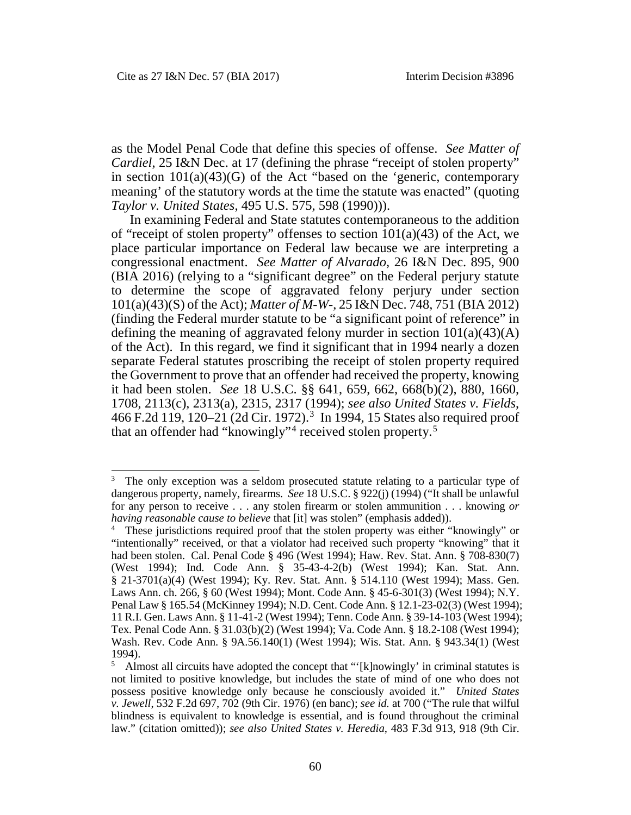as the Model Penal Code that define this species of offense. *See Matter of Cardiel*, 25 I&N Dec. at 17 (defining the phrase "receipt of stolen property" in section  $101(a)(43)(G)$  of the Act "based on the 'generic, contemporary meaning' of the statutory words at the time the statute was enacted" (quoting *Taylor v. United States*, 495 U.S. 575, 598 (1990))).

In examining Federal and State statutes contemporaneous to the addition of "receipt of stolen property" offenses to section  $101(a)(43)$  of the Act, we place particular importance on Federal law because we are interpreting a congressional enactment. *See Matter of Alvarado*, 26 I&N Dec. 895, 900 (BIA 2016) (relying to a "significant degree" on the Federal perjury statute to determine the scope of aggravated felony perjury under section 101(a)(43)(S) of the Act); *Matter of M-W-*, 25 I&N Dec. 748, 751 (BIA 2012) (finding the Federal murder statute to be "a significant point of reference" in defining the meaning of aggravated felony murder in section  $101(a)(43)(A)$ of the Act). In this regard, we find it significant that in 1994 nearly a dozen separate Federal statutes proscribing the receipt of stolen property required the Government to prove that an offender had received the property, knowing it had been stolen. *See* 18 U.S.C. §§ 641, 659, 662, 668(b)(2), 880, 1660, 1708, 2113(c), 2313(a), 2315, 2317 (1994); *see also United States v. Fields*, 466 F.2d 119, 120–21 (2d Cir. 1972).<sup>[3](#page-3-0)</sup> In 1994, 15 States also required proof that an offender had "knowingly"<sup>[4](#page-3-1)</sup> received stolen property.<sup>[5](#page-3-2)</sup>

<span id="page-3-0"></span><sup>&</sup>lt;sup>3</sup> The only exception was a seldom prosecuted statute relating to a particular type of dangerous property, namely, firearms. *See* 18 U.S.C. § 922(j) (1994) ("It shall be unlawful for any person to receive . . . any stolen firearm or stolen ammunition . . . knowing *or having reasonable cause to believe* that [it] was stolen" (emphasis added)).

<span id="page-3-1"></span><sup>4</sup> These jurisdictions required proof that the stolen property was either "knowingly" or "intentionally" received, or that a violator had received such property "knowing" that it had been stolen. Cal. Penal Code § 496 (West 1994); Haw. Rev. Stat. Ann. § 708-830(7) (West 1994); Ind. Code Ann. § 35-43-4-2(b) (West 1994); Kan. Stat. Ann. § 21-3701(a)(4) (West 1994); Ky. Rev. Stat. Ann. § 514.110 (West 1994); Mass. Gen. Laws Ann. ch. 266, § 60 (West 1994); Mont. Code Ann. § 45-6-301(3) (West 1994); N.Y. Penal Law § 165.54 (McKinney 1994); N.D. Cent. Code Ann. § 12.1-23-02(3) (West 1994); 11 R.I. Gen. Laws Ann. § 11-41-2 (West 1994); Tenn. Code Ann. § 39-14-103 (West 1994); Tex. Penal Code Ann. § 31.03(b)(2) (West 1994); Va. Code Ann. § 18.2-108 (West 1994); Wash. Rev. Code Ann. § 9A.56.140(1) (West 1994); Wis. Stat. Ann. § 943.34(1) (West 1994).

<span id="page-3-2"></span><sup>&</sup>lt;sup>5</sup> Almost all circuits have adopted the concept that "'[k]nowingly' in criminal statutes is not limited to positive knowledge, but includes the state of mind of one who does not possess positive knowledge only because he consciously avoided it." *United States v. Jewell*, 532 F.2d 697, 702 (9th Cir. 1976) (en banc); *see id.* at 700 ("The rule that wilful blindness is equivalent to knowledge is essential, and is found throughout the criminal law." (citation omitted)); *see also United States v. Heredia*, 483 F.3d 913, 918 (9th Cir.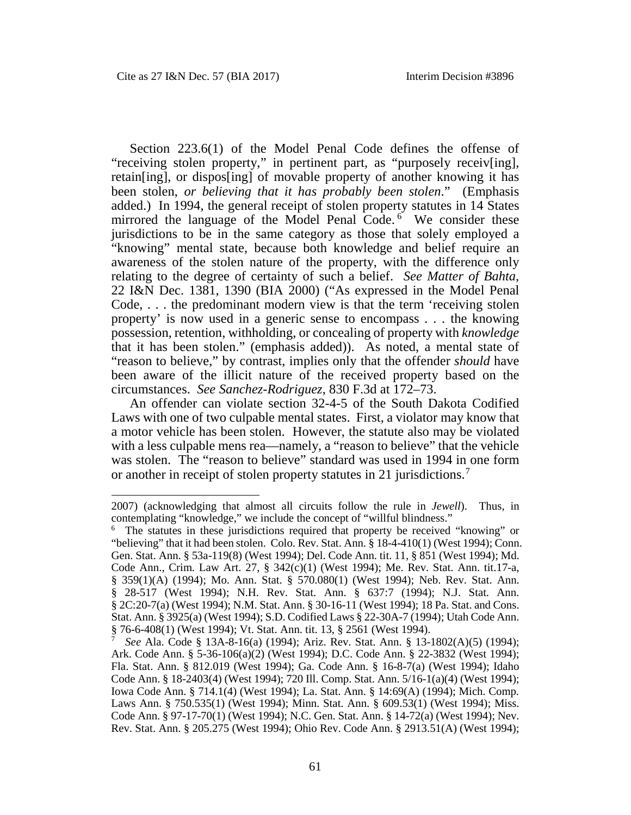$\overline{a}$ 

Section 223.6(1) of the Model Penal Code defines the offense of "receiving stolen property," in pertinent part, as "purposely receiv[ing], retain[ing], or dispos[ing] of movable property of another knowing it has been stolen, *or believing that it has probably been stolen*." (Emphasis added.) In 1994, the general receipt of stolen property statutes in 14 States mirrored the language of the Model Penal Code.<sup>[6](#page-4-0)</sup> We consider these jurisdictions to be in the same category as those that solely employed a "knowing" mental state, because both knowledge and belief require an awareness of the stolen nature of the property, with the difference only relating to the degree of certainty of such a belief. *See Matter of Bahta*, 22 I&N Dec. 1381, 1390 (BIA 2000) ("As expressed in the Model Penal Code, . . . the predominant modern view is that the term 'receiving stolen property' is now used in a generic sense to encompass . . . the knowing possession, retention, withholding, or concealing of property with *knowledge* that it has been stolen." (emphasis added)). As noted, a mental state of "reason to believe," by contrast, implies only that the offender *should* have been aware of the illicit nature of the received property based on the circumstances. *See Sanchez-Rodriguez*, 830 F.3d at 172–73.

An offender can violate section 32-4-5 of the South Dakota Codified Laws with one of two culpable mental states. First, a violator may know that a motor vehicle has been stolen. However, the statute also may be violated with a less culpable mens rea—namely, a "reason to believe" that the vehicle was stolen. The "reason to believe" standard was used in 1994 in one form or another in receipt of stolen property statutes in 21 jurisdictions.<sup>[7](#page-4-1)</sup>

<sup>2007) (</sup>acknowledging that almost all circuits follow the rule in *Jewell*). Thus, in contemplating "knowledge," we include the concept of "willful blindness."

<span id="page-4-0"></span><sup>&</sup>lt;sup>6</sup> The statutes in these jurisdictions required that property be received "knowing" or "believing" that it had been stolen. Colo. Rev. Stat. Ann. § 18-4-410(1) (West 1994); Conn. Gen. Stat. Ann. § 53a-119(8) (West 1994); Del. Code Ann. tit. 11, § 851 (West 1994); Md. Code Ann., Crim. Law Art. 27, § 342(c)(1) (West 1994); Me. Rev. Stat. Ann. tit.17-a, § 359(1)(A) (1994); Mo. Ann. Stat. § 570.080(1) (West 1994); Neb. Rev. Stat. Ann. § 28-517 (West 1994); N.H. Rev. Stat. Ann. § 637:7 (1994); N.J. Stat. Ann. § 2C:20-7(a) (West 1994); N.M. Stat. Ann. § 30-16-11 (West 1994); 18 Pa. Stat. and Cons. Stat. Ann. § 3925(a) (West 1994); S.D. Codified Laws § 22-30A-7 (1994); Utah Code Ann. § 76-6-408(1) (West 1994); Vt. Stat. Ann. tit. 13, § 2561 (West 1994).

<span id="page-4-1"></span><sup>7</sup> *See* Ala. Code § 13A-8-16(a) (1994); Ariz. Rev. Stat. Ann. § 13-1802(A)(5) (1994); Ark. Code Ann. § 5-36-106(a)(2) (West 1994); D.C. Code Ann. § 22-3832 (West 1994); Fla. Stat. Ann. § 812.019 (West 1994); Ga. Code Ann. § 16-8-7(a) (West 1994); Idaho Code Ann. § 18-2403(4) (West 1994); 720 Ill. Comp. Stat. Ann. 5/16-1(a)(4) (West 1994); Iowa Code Ann. § 714.1(4) (West 1994); La. Stat. Ann. § 14:69(A) (1994); Mich. Comp. Laws Ann. § 750.535(1) (West 1994); Minn. Stat. Ann. § 609.53(1) (West 1994); Miss. Code Ann. § 97-17-70(1) (West 1994); N.C. Gen. Stat. Ann. § 14-72(a) (West 1994); Nev. Rev. Stat. Ann. § 205.275 (West 1994); Ohio Rev. Code Ann. § 2913.51(A) (West 1994);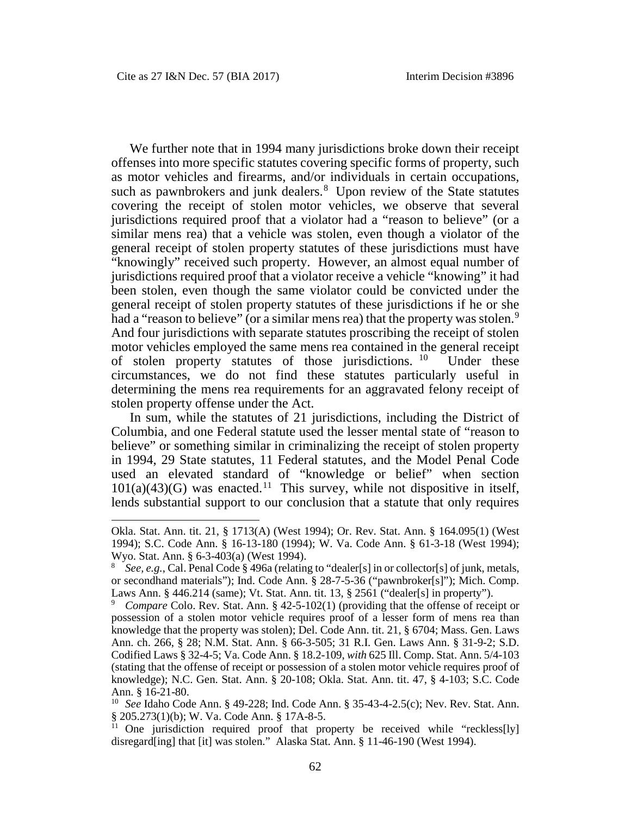$\overline{a}$ 

We further note that in 1994 many jurisdictions broke down their receipt offenses into more specific statutes covering specific forms of property, such as motor vehicles and firearms, and/or individuals in certain occupations, such as pawnbrokers and junk dealers.<sup>[8](#page-5-0)</sup> Upon review of the State statutes covering the receipt of stolen motor vehicles, we observe that several jurisdictions required proof that a violator had a "reason to believe" (or a similar mens rea) that a vehicle was stolen, even though a violator of the general receipt of stolen property statutes of these jurisdictions must have "knowingly" received such property. However, an almost equal number of jurisdictions required proof that a violator receive a vehicle "knowing" it had been stolen, even though the same violator could be convicted under the general receipt of stolen property statutes of these jurisdictions if he or she had a "reason to believe" (or a similar mens rea) that the property was stolen.<sup>[9](#page-5-1)</sup> And four jurisdictions with separate statutes proscribing the receipt of stolen motor vehicles employed the same mens rea contained in the general receipt of stolen property statutes of those jurisdictions. [10](#page-5-2) Under these circumstances, we do not find these statutes particularly useful in determining the mens rea requirements for an aggravated felony receipt of stolen property offense under the Act.

In sum, while the statutes of 21 jurisdictions, including the District of Columbia, and one Federal statute used the lesser mental state of "reason to believe" or something similar in criminalizing the receipt of stolen property in 1994, 29 State statutes, 11 Federal statutes, and the Model Penal Code used an elevated standard of "knowledge or belief" when section  $101(a)(43)(G)$  was enacted.<sup>[11](#page-5-3)</sup> This survey, while not dispositive in itself, lends substantial support to our conclusion that a statute that only requires

Okla. Stat. Ann. tit. 21, § 1713(A) (West 1994); Or. Rev. Stat. Ann. § 164.095(1) (West 1994); S.C. Code Ann. § 16-13-180 (1994); W. Va. Code Ann. § 61-3-18 (West 1994); Wyo. Stat. Ann. § 6-3-403(a) (West 1994).

<span id="page-5-0"></span><sup>8</sup> *See, e.g.*, Cal. Penal Code § 496a (relating to "dealer[s] in or collector[s] of junk, metals, or secondhand materials"); Ind. Code Ann. § 28-7-5-36 ("pawnbroker[s]"); Mich. Comp. Laws Ann. § 446.214 (same); Vt. Stat. Ann. tit. 13, § 2561 ("dealer[s] in property").

<span id="page-5-1"></span>*Compare* Colo. Rev. Stat. Ann. § 42-5-102(1) (providing that the offense of receipt or possession of a stolen motor vehicle requires proof of a lesser form of mens rea than knowledge that the property was stolen); Del. Code Ann. tit. 21, § 6704; Mass. Gen. Laws Ann. ch. 266, § 28; N.M. Stat. Ann. § 66-3-505; 31 R.I. Gen. Laws Ann. § 31-9-2; S.D. Codified Laws § 32-4-5; Va. Code Ann. § 18.2-109, *with* 625 Ill. Comp. Stat. Ann. 5/4-103 (stating that the offense of receipt or possession of a stolen motor vehicle requires proof of knowledge); N.C. Gen. Stat. Ann. § 20-108; Okla. Stat. Ann. tit. 47, § 4-103; S.C. Code Ann. § 16-21-80.

<span id="page-5-2"></span><sup>10</sup> *See* Idaho Code Ann. § 49-228; Ind. Code Ann. § 35-43-4-2.5(c); Nev. Rev. Stat. Ann. § 205.273(1)(b); W. Va. Code Ann. § 17A-8-5.

<span id="page-5-3"></span><sup>&</sup>lt;sup>11</sup> One jurisdiction required proof that property be received while "reckless[ly] disregard[ing] that [it] was stolen." Alaska Stat. Ann. § 11-46-190 (West 1994).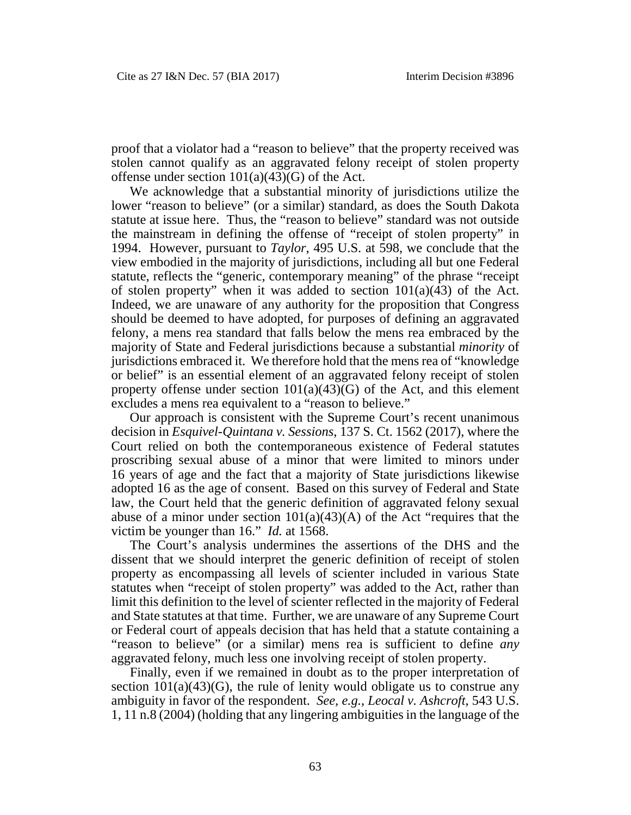proof that a violator had a "reason to believe" that the property received was stolen cannot qualify as an aggravated felony receipt of stolen property offense under section  $101(a)(43)(G)$  of the Act.

We acknowledge that a substantial minority of jurisdictions utilize the lower "reason to believe" (or a similar) standard, as does the South Dakota statute at issue here. Thus, the "reason to believe" standard was not outside the mainstream in defining the offense of "receipt of stolen property" in 1994. However, pursuant to *Taylor*, 495 U.S. at 598, we conclude that the view embodied in the majority of jurisdictions, including all but one Federal statute, reflects the "generic, contemporary meaning" of the phrase "receipt of stolen property" when it was added to section 101(a)(43) of the Act. Indeed, we are unaware of any authority for the proposition that Congress should be deemed to have adopted, for purposes of defining an aggravated felony, a mens rea standard that falls below the mens rea embraced by the majority of State and Federal jurisdictions because a substantial *minority* of jurisdictions embraced it. We therefore hold that the mens rea of "knowledge or belief" is an essential element of an aggravated felony receipt of stolen property offense under section  $101(a)(43)(G)$  of the Act, and this element excludes a mens rea equivalent to a "reason to believe."

Our approach is consistent with the Supreme Court's recent unanimous decision in *Esquivel-Quintana v. Sessions*, 137 S. Ct. 1562 (2017), where the Court relied on both the contemporaneous existence of Federal statutes proscribing sexual abuse of a minor that were limited to minors under 16 years of age and the fact that a majority of State jurisdictions likewise adopted 16 as the age of consent. Based on this survey of Federal and State law, the Court held that the generic definition of aggravated felony sexual abuse of a minor under section  $101(a)(43)(A)$  of the Act "requires that the victim be younger than 16." *Id.* at 1568.

The Court's analysis undermines the assertions of the DHS and the dissent that we should interpret the generic definition of receipt of stolen property as encompassing all levels of scienter included in various State statutes when "receipt of stolen property" was added to the Act, rather than limit this definition to the level of scienter reflected in the majority of Federal and State statutes at that time. Further, we are unaware of any Supreme Court or Federal court of appeals decision that has held that a statute containing a "reason to believe" (or a similar) mens rea is sufficient to define *any* aggravated felony, much less one involving receipt of stolen property.

Finally, even if we remained in doubt as to the proper interpretation of section  $101(a)(43)(G)$ , the rule of lenity would obligate us to construe any ambiguity in favor of the respondent. *See, e.g.*, *Leocal v. Ashcroft*, 543 U.S. 1, 11 n.8 (2004) (holding that any lingering ambiguities in the language of the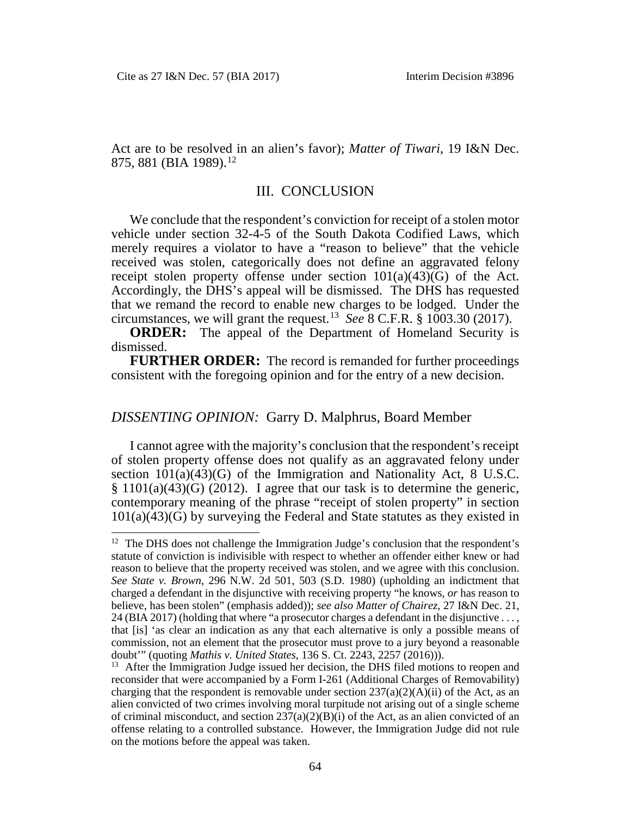Act are to be resolved in an alien's favor); *Matter of Tiwari*, 19 I&N Dec. 875, 881 (BIA 1989).<sup>[12](#page-7-0)</sup>

#### III. CONCLUSION

We conclude that the respondent's conviction for receipt of a stolen motor vehicle under section 32-4-5 of the South Dakota Codified Laws, which merely requires a violator to have a "reason to believe" that the vehicle received was stolen, categorically does not define an aggravated felony receipt stolen property offense under section  $101(a)(43)(G)$  of the Act. Accordingly, the DHS's appeal will be dismissed. The DHS has requested that we remand the record to enable new charges to be lodged. Under the circumstances, we will grant the request.<sup>[13](#page-7-1)</sup> *See*  $\overline{8}$  C.F.R.  $\overline{8}$  1003.30 (2017).

**ORDER:** The appeal of the Department of Homeland Security is dismissed.

**FURTHER ORDER:** The record is remanded for further proceedings consistent with the foregoing opinion and for the entry of a new decision.

### *DISSENTING OPINION:* Garry D. Malphrus, Board Member

I cannot agree with the majority's conclusion that the respondent's receipt of stolen property offense does not qualify as an aggravated felony under section 101(a)(43)(G) of the Immigration and Nationality Act, 8 U.S.C. § 1101(a)(43)(G) (2012). I agree that our task is to determine the generic, contemporary meaning of the phrase "receipt of stolen property" in section 101(a)(43)(G) by surveying the Federal and State statutes as they existed in

<span id="page-7-0"></span><sup>&</sup>lt;sup>12</sup> The DHS does not challenge the Immigration Judge's conclusion that the respondent's statute of conviction is indivisible with respect to whether an offender either knew or had reason to believe that the property received was stolen, and we agree with this conclusion. *See State v. Brown*, 296 N.W. 2d 501, 503 (S.D. 1980) (upholding an indictment that charged a defendant in the disjunctive with receiving property "he knows, *or* has reason to believe, has been stolen" (emphasis added)); *see also Matter of Chairez*, 27 I&N Dec. 21, 24 (BIA 2017) (holding that where "a prosecutor charges a defendant in the disjunctive . . . , that [is] 'as clear an indication as any that each alternative is only a possible means of commission, not an element that the prosecutor must prove to a jury beyond a reasonable doubt'" (quoting *Mathis v. United States*, 136 S. Ct. 2243, 2257 (2016))).

<span id="page-7-1"></span><sup>&</sup>lt;sup>13</sup> After the Immigration Judge issued her decision, the DHS filed motions to reopen and reconsider that were accompanied by a Form I-261 (Additional Charges of Removability) charging that the respondent is removable under section  $237(a)(2)(A)(ii)$  of the Act, as an alien convicted of two crimes involving moral turpitude not arising out of a single scheme of criminal misconduct, and section  $237(a)(2)(B)(i)$  of the Act, as an alien convicted of an offense relating to a controlled substance. However, the Immigration Judge did not rule on the motions before the appeal was taken.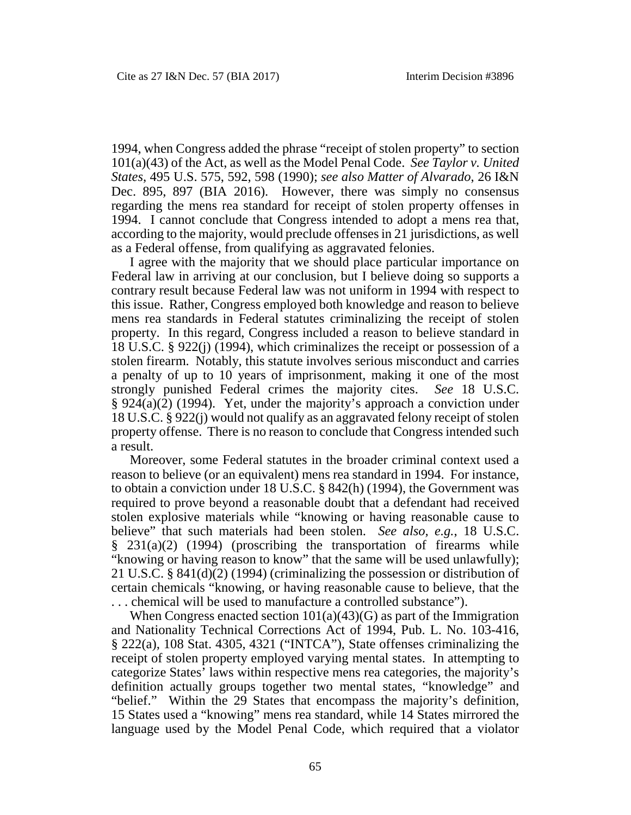1994, when Congress added the phrase "receipt of stolen property" to section 101(a)(43) of the Act, as well as the Model Penal Code. *See Taylor v. United States*, 495 U.S. 575, 592, 598 (1990); *see also Matter of Alvarado*, 26 I&N Dec. 895, 897 (BIA 2016). However, there was simply no consensus regarding the mens rea standard for receipt of stolen property offenses in 1994. I cannot conclude that Congress intended to adopt a mens rea that, according to the majority, would preclude offenses in 21 jurisdictions, as well as a Federal offense, from qualifying as aggravated felonies.

I agree with the majority that we should place particular importance on Federal law in arriving at our conclusion, but I believe doing so supports a contrary result because Federal law was not uniform in 1994 with respect to this issue. Rather, Congress employed both knowledge and reason to believe mens rea standards in Federal statutes criminalizing the receipt of stolen property. In this regard, Congress included a reason to believe standard in 18 U.S.C. § 922(j) (1994), which criminalizes the receipt or possession of a stolen firearm. Notably, this statute involves serious misconduct and carries a penalty of up to 10 years of imprisonment, making it one of the most strongly punished Federal crimes the majority cites. *See* 18 U.S.C. § 924(a)(2) (1994). Yet, under the majority's approach a conviction under 18 U.S.C. § 922(j) would not qualify as an aggravated felony receipt of stolen property offense. There is no reason to conclude that Congress intended such a result.

Moreover, some Federal statutes in the broader criminal context used a reason to believe (or an equivalent) mens rea standard in 1994. For instance, to obtain a conviction under 18 U.S.C. § 842(h) (1994), the Government was required to prove beyond a reasonable doubt that a defendant had received stolen explosive materials while "knowing or having reasonable cause to believe" that such materials had been stolen. *See also, e.g.*, 18 U.S.C. § 231(a)(2) (1994) (proscribing the transportation of firearms while "knowing or having reason to know" that the same will be used unlawfully); 21 U.S.C. § 841(d)(2) (1994) (criminalizing the possession or distribution of certain chemicals "knowing, or having reasonable cause to believe, that the . . . chemical will be used to manufacture a controlled substance").

When Congress enacted section  $101(a)(43)(G)$  as part of the Immigration and Nationality Technical Corrections Act of 1994, Pub. L. No. 103-416, § 222(a), 108 Stat. 4305, 4321 ("INTCA"), State offenses criminalizing the receipt of stolen property employed varying mental states. In attempting to categorize States' laws within respective mens rea categories, the majority's definition actually groups together two mental states, "knowledge" and "belief." Within the 29 States that encompass the majority's definition, 15 States used a "knowing" mens rea standard, while 14 States mirrored the language used by the Model Penal Code, which required that a violator